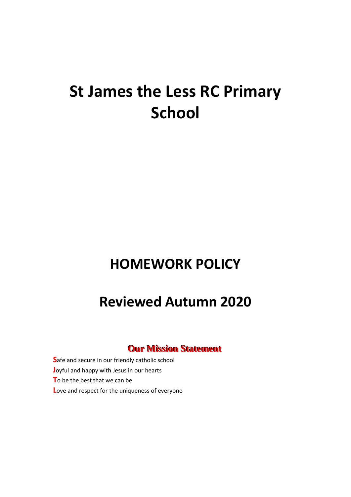# **St James the Less RC Primary School**

# **HOMEWORK POLICY**

# **Reviewed Autumn 2020**

# **Our Mission Statement**

**S**afe and secure in our friendly catholic school **J**oyful and happy with Jesus in our hearts **T**o be the best that we can be **L**ove and respect for the uniqueness of everyone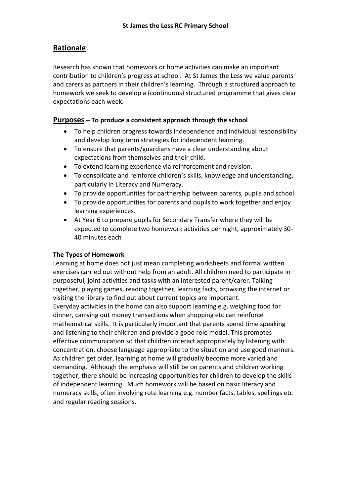# **Rationale**

Research has shown that homework or home activities can make an important contribution to children's progress at school. At St James the Less we value parents and carers as partners in their children's learning. Through a structured approach to homework we seek to develop a (continuous) structured programme that gives clear expectations each week.

#### **Purposes – To produce a consistent approach through the school**

- To help children progress towards independence and individual responsibility and develop long term strategies for independent learning.
- To ensure that parents/guardians have a clear understanding about expectations from themselves and their child.
- To extend learning experience via reinforcement and revision.
- To consolidate and reinforce children's skills, knowledge and understanding, particularly in Literacy and Numeracy.
- To provide opportunities for partnership between parents, pupils and school
- To provide opportunities for parents and pupils to work together and enjoy learning experiences.
- At Year 6 to prepare pupils for Secondary Transfer where they will be expected to complete two homework activities per night, approximately 30- 40 minutes each

#### **The Types of Homework**

Learning at home does not just mean completing worksheets and formal written exercises carried out without help from an adult. All children need to participate in purposeful, joint activities and tasks with an interested parent/carer. Talking together, playing games, reading together, learning facts, browsing the internet or visiting the library to find out about current topics are important. Everyday activities in the home can also support learning e.g. weighing food for dinner, carrying out money transactions when shopping etc can reinforce mathematical skills. It is particularly important that parents spend time speaking and listening to their children and provide a good role model. This promotes effective communication so that children interact appropriately by listening with concentration, choose language appropriate to the situation and use good manners. As children get older, learning at home will gradually become more varied and demanding. Although the emphasis will still be on parents and children working together, there should be increasing opportunities for children to develop the skills of independent learning. Much homework will be based on basic literacy and numeracy skills, often involving rote learning e.g. number facts, tables, spellings etc and regular reading sessions.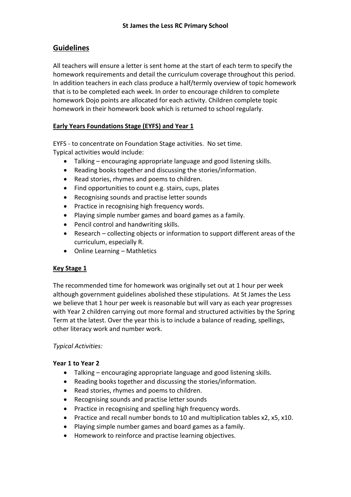# **Guidelines**

All teachers will ensure a letter is sent home at the start of each term to specify the homework requirements and detail the curriculum coverage throughout this period. In addition teachers in each class produce a half/termly overview of topic homework that is to be completed each week. In order to encourage children to complete homework Dojo points are allocated for each activity. Children complete topic homework in their homework book which is returned to school regularly.

#### **Early Years Foundations Stage (EYFS) and Year 1**

EYFS - to concentrate on Foundation Stage activities. No set time. Typical activities would include:

- Talking encouraging appropriate language and good listening skills.
- Reading books together and discussing the stories/information.
- Read stories, rhymes and poems to children.
- Find opportunities to count e.g. stairs, cups, plates
- Recognising sounds and practise letter sounds
- Practice in recognising high frequency words.
- Playing simple number games and board games as a family.
- Pencil control and handwriting skills.
- Research collecting objects or information to support different areas of the curriculum, especially R.
- Online Learning Mathletics

#### **Key Stage 1**

The recommended time for homework was originally set out at 1 hour per week although government guidelines abolished these stipulations. At St James the Less we believe that 1 hour per week is reasonable but will vary as each year progresses with Year 2 children carrying out more formal and structured activities by the Spring Term at the latest. Over the year this is to include a balance of reading, spellings, other literacy work and number work.

#### *Typical Activities:*

#### **Year 1 to Year 2**

- Talking encouraging appropriate language and good listening skills.
- Reading books together and discussing the stories/information.
- Read stories, rhymes and poems to children.
- Recognising sounds and practise letter sounds
- Practice in recognising and spelling high frequency words.
- Practice and recall number bonds to 10 and multiplication tables x2, x5, x10.
- Playing simple number games and board games as a family.
- Homework to reinforce and practise learning objectives.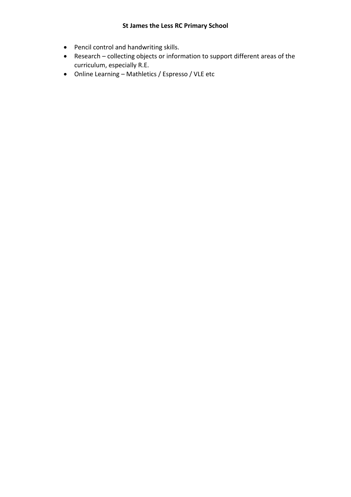- Pencil control and handwriting skills.
- Research collecting objects or information to support different areas of the curriculum, especially R.E.
- Online Learning Mathletics / Espresso / VLE etc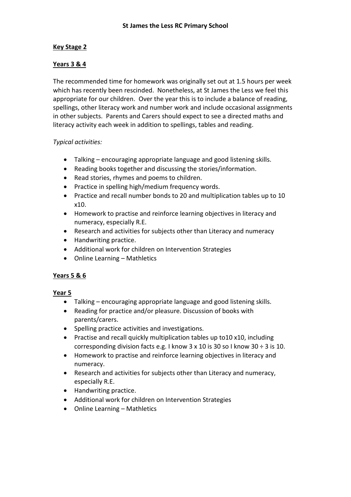#### **Key Stage 2**

#### **Years 3 & 4**

The recommended time for homework was originally set out at 1.5 hours per week which has recently been rescinded. Nonetheless, at St James the Less we feel this appropriate for our children. Over the year this is to include a balance of reading, spellings, other literacy work and number work and include occasional assignments in other subjects. Parents and Carers should expect to see a directed maths and literacy activity each week in addition to spellings, tables and reading.

#### *Typical activities:*

- Talking encouraging appropriate language and good listening skills.
- Reading books together and discussing the stories/information.
- Read stories, rhymes and poems to children.
- Practice in spelling high/medium frequency words.
- Practice and recall number bonds to 20 and multiplication tables up to 10 x10.
- Homework to practise and reinforce learning objectives in literacy and numeracy, especially R.E.
- Research and activities for subjects other than Literacy and numeracy
- Handwriting practice.
- Additional work for children on Intervention Strategies
- Online Learning Mathletics

#### **Years 5 & 6**

#### **Year 5**

- Talking encouraging appropriate language and good listening skills.
- Reading for practice and/or pleasure. Discussion of books with parents/carers.
- Spelling practice activities and investigations.
- Practise and recall quickly multiplication tables up to10 x10, including corresponding division facts e.g. I know  $3 \times 10$  is  $30$  so I know  $30 \div 3$  is 10.
- Homework to practise and reinforce learning objectives in literacy and numeracy.
- Research and activities for subjects other than Literacy and numeracy, especially R.E.
- Handwriting practice.
- Additional work for children on Intervention Strategies
- Online Learning Mathletics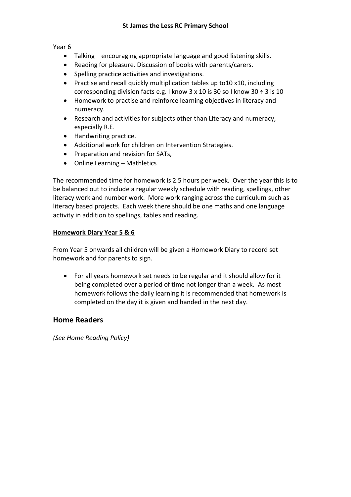Year 6

- Talking encouraging appropriate language and good listening skills.
- Reading for pleasure. Discussion of books with parents/carers.
- Spelling practice activities and investigations.
- Practise and recall quickly multiplication tables up to10 x10, including corresponding division facts e.g. I know  $3 \times 10$  is  $30$  so I know  $30 \div 3$  is  $10$
- Homework to practise and reinforce learning objectives in literacy and numeracy.
- Research and activities for subjects other than Literacy and numeracy, especially R.E.
- Handwriting practice.
- Additional work for children on Intervention Strategies.
- Preparation and revision for SATs.
- Online Learning Mathletics

The recommended time for homework is 2.5 hours per week. Over the year this is to be balanced out to include a regular weekly schedule with reading, spellings, other literacy work and number work. More work ranging across the curriculum such as literacy based projects. Each week there should be one maths and one language activity in addition to spellings, tables and reading.

#### **Homework Diary Year 5 & 6**

From Year 5 onwards all children will be given a Homework Diary to record set homework and for parents to sign.

 For all years homework set needs to be regular and it should allow for it being completed over a period of time not longer than a week. As most homework follows the daily learning it is recommended that homework is completed on the day it is given and handed in the next day.

#### **Home Readers**

*(See Home Reading Policy)*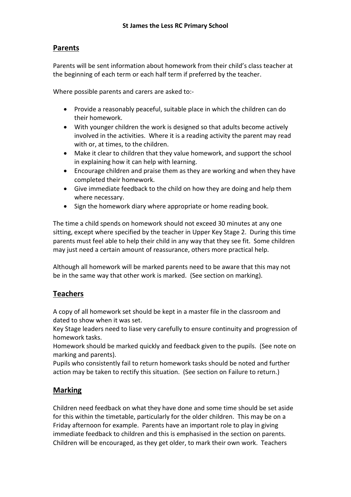### **Parents**

Parents will be sent information about homework from their child's class teacher at the beginning of each term or each half term if preferred by the teacher.

Where possible parents and carers are asked to:-

- Provide a reasonably peaceful, suitable place in which the children can do their homework.
- With younger children the work is designed so that adults become actively involved in the activities. Where it is a reading activity the parent may read with or, at times, to the children.
- Make it clear to children that they value homework, and support the school in explaining how it can help with learning.
- Encourage children and praise them as they are working and when they have completed their homework.
- Give immediate feedback to the child on how they are doing and help them where necessary.
- Sign the homework diary where appropriate or home reading book.

The time a child spends on homework should not exceed 30 minutes at any one sitting, except where specified by the teacher in Upper Key Stage 2. During this time parents must feel able to help their child in any way that they see fit. Some children may just need a certain amount of reassurance, others more practical help.

Although all homework will be marked parents need to be aware that this may not be in the same way that other work is marked. (See section on marking).

# **Teachers**

A copy of all homework set should be kept in a master file in the classroom and dated to show when it was set.

Key Stage leaders need to liase very carefully to ensure continuity and progression of homework tasks.

Homework should be marked quickly and feedback given to the pupils. (See note on marking and parents).

Pupils who consistently fail to return homework tasks should be noted and further action may be taken to rectify this situation. (See section on Failure to return.)

# **Marking**

Children need feedback on what they have done and some time should be set aside for this within the timetable, particularly for the older children. This may be on a Friday afternoon for example. Parents have an important role to play in giving immediate feedback to children and this is emphasised in the section on parents. Children will be encouraged, as they get older, to mark their own work. Teachers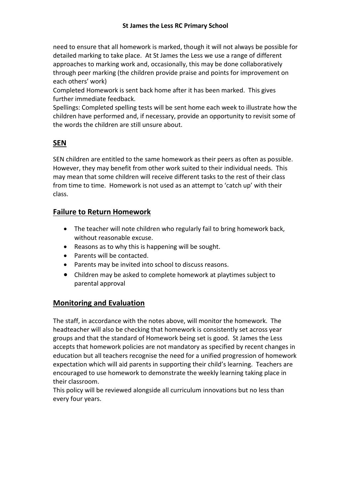need to ensure that all homework is marked, though it will not always be possible for detailed marking to take place. At St James the Less we use a range of different approaches to marking work and, occasionally, this may be done collaboratively through peer marking (the children provide praise and points for improvement on each others' work)

Completed Homework is sent back home after it has been marked. This gives further immediate feedback.

Spellings: Completed spelling tests will be sent home each week to illustrate how the children have performed and, if necessary, provide an opportunity to revisit some of the words the children are still unsure about.

# **SEN**

SEN children are entitled to the same homework as their peers as often as possible. However, they may benefit from other work suited to their individual needs. This may mean that some children will receive different tasks to the rest of their class from time to time. Homework is not used as an attempt to 'catch up' with their class.

# **Failure to Return Homework**

- The teacher will note children who regularly fail to bring homework back, without reasonable excuse.
- Reasons as to why this is happening will be sought.
- Parents will be contacted.
- Parents may be invited into school to discuss reasons.
- Children may be asked to complete homework at playtimes subject to parental approval

# **Monitoring and Evaluation**

The staff, in accordance with the notes above, will monitor the homework. The headteacher will also be checking that homework is consistently set across year groups and that the standard of Homework being set is good. St James the Less accepts that homework policies are not mandatory as specified by recent changes in education but all teachers recognise the need for a unified progression of homework expectation which will aid parents in supporting their child's learning. Teachers are encouraged to use homework to demonstrate the weekly learning taking place in their classroom.

This policy will be reviewed alongside all curriculum innovations but no less than every four years.